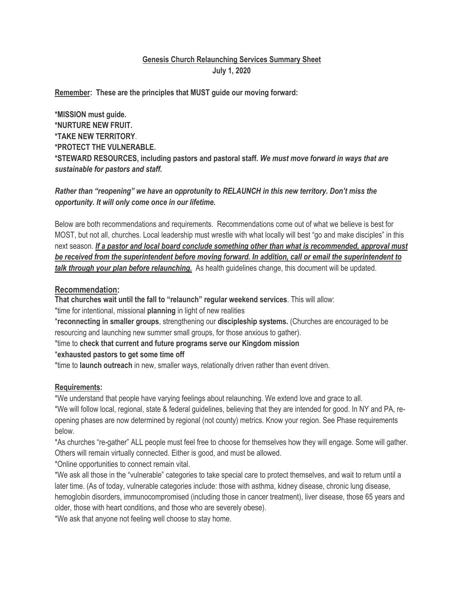# **Genesis Church Relaunching Services Summary Sheet July 1, 2020**

**Remember: These are the principles that MUST guide our moving forward:**

**\*MISSION must guide. \*NURTURE NEW FRUIT. \*TAKE NEW TERRITORY**. **\*PROTECT THE VULNERABLE. \*STEWARD RESOURCES, including pastors and pastoral staff.** *We must move forward in ways that are sustainable for pastors and staff.* 

### *Rather than "reopening" we have an opprotunity to RELAUNCH in this new territory. Don't miss the opportunity. It will only come once in our lifetime.*

Below are both recommendations and requirements. Recommendations come out of what we believe is best for MOST, but not all, churches. Local leadership must wrestle with what locally will best "go and make disciples" in this next season. *If a pastor and local board conclude something other than what is recommended, approval must be received from the superintendent before moving forward. In addition, call or email the superintendent to talk through your plan before relaunching.* As health guidelines change, this document will be updated.

### **Recommendation:**

**That churches wait until the fall to "relaunch" regular weekend services**. This will allow:

\*time for intentional, missional **planning** in light of new realities

\***reconnecting in smaller groups**, strengthening our **discipleship systems.** (Churches are encouraged to be resourcing and launching new summer small groups, for those anxious to gather).

\*time to **check that current and future programs serve our Kingdom mission**

\***exhausted pastors to get some time off**

\*time to **launch outreach** in new, smaller ways, relationally driven rather than event driven.

#### **Requirements:**

\*We understand that people have varying feelings about relaunching. We extend love and grace to all. \*We will follow local, regional, state & federal guidelines, believing that they are intended for good. In NY and PA, reopening phases are now determined by regional (not county) metrics. Know your region. See Phase requirements below.

\*As churches "re-gather" ALL people must feel free to choose for themselves how they will engage. Some will gather. Others will remain virtually connected. Either is good, and must be allowed.

\*Online opportunities to connect remain vital.

\*We ask all those in the "vulnerable" categories to take special care to protect themselves, and wait to return until a later time. (As of today, vulnerable categories include: those with asthma, kidney disease, chronic lung disease, hemoglobin disorders, immunocompromised (including those in cancer treatment), liver disease, those 65 years and older, those with heart conditions, and those who are severely obese).

\*We ask that anyone not feeling well choose to stay home.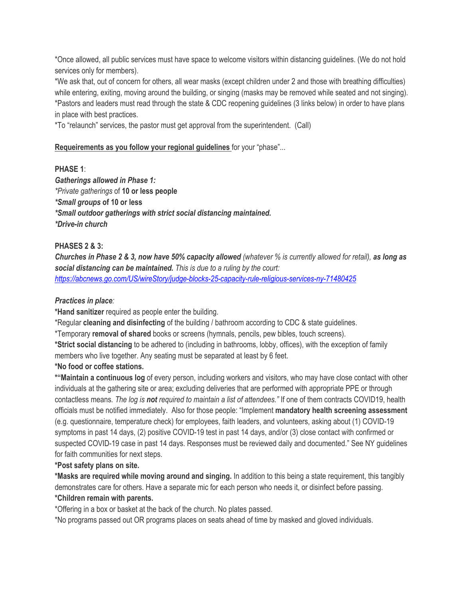\*Once allowed, all public services must have space to welcome visitors within distancing guidelines. (We do not hold services only for members).

\*We ask that, out of concern for others, all wear masks (except children under 2 and those with breathing difficulties) while entering, exiting, moving around the building, or singing (masks may be removed while seated and not singing). \*Pastors and leaders must read through the state & CDC reopening guidelines (3 links below) in order to have plans in place with best practices.

\*To "relaunch" services, the pastor must get approval from the superintendent. (Call)

### **Requeirements as you follow your regional guidelines** for your "phase"...

#### **PHASE 1**:

*Gatherings allowed in Phase 1: \*Private gatherings* of **10 or less people** *\*Small groups* **of 10 or less**  *\*Small outdoor gatherings with strict social distancing maintained. \*Drive-in church* 

### **PHASES 2 & 3:**

*Churches in Phase 2 & 3, now have 50% capacity allowed (whatever % is currently allowed for retail), as long as social distancing can be maintained. This is due to a ruling by the court: https://abcnews.go.com/US/wireStory/judge-blocks-25-capacity-rule-religious-services-ny-71480425*

#### *Practices in place:*

**\*Hand sanitizer** required as people enter the building.

\*Regular **cleaning and disinfecting** of the building / bathroom according to CDC & state guidelines.

\*Temporary **removal of shared** books or screens (hymnals, pencils, pew bibles, touch screens).

**\*Strict social distancing** to be adhered to (including in bathrooms, lobby, offices), with the exception of family members who live together. Any seating must be separated at least by 6 feet.

#### **\*No food or coffee stations.**

**\*"Maintain a continuous log** of every person, including workers and visitors, who may have close contact with other individuals at the gathering site or area; excluding deliveries that are performed with appropriate PPE or through contactless means*. The log is not required to maintain a list of attendees."* If one of them contracts COVID19, health officials must be notified immediately. Also for those people: "Implement **mandatory health screening assessment** (e.g. questionnaire, temperature check) for employees, faith leaders, and volunteers, asking about (1) COVID-19 symptoms in past 14 days, (2) positive COVID-19 test in past 14 days, and/or (3) close contact with confirmed or suspected COVID-19 case in past 14 days. Responses must be reviewed daily and documented." See NY guidelines for faith communities for next steps.

#### **\*Post safety plans on site.**

**\*Masks are required while moving around and singing.** In addition to this being a state requirement, this tangibly demonstrates care for others. Have a separate mic for each person who needs it, or disinfect before passing. **\*Children remain with parents.**

\*Offering in a box or basket at the back of the church. No plates passed.

\*No programs passed out OR programs places on seats ahead of time by masked and gloved individuals.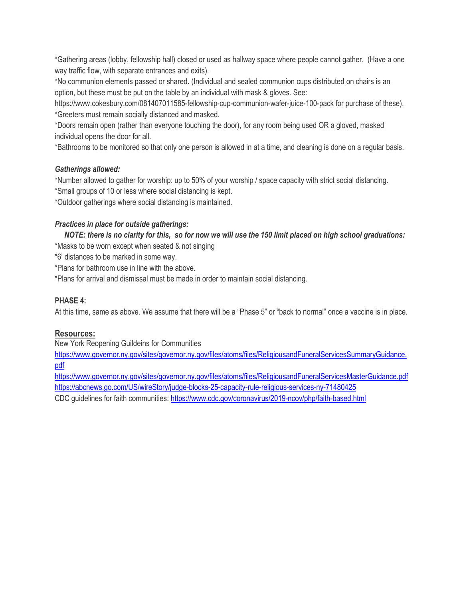\*Gathering areas (lobby, fellowship hall) closed or used as hallway space where people cannot gather. (Have a one way traffic flow, with separate entrances and exits).

\*No communion elements passed or shared. (Individual and sealed communion cups distributed on chairs is an option, but these must be put on the table by an individual with mask & gloves. See:

https://www.cokesbury.com/081407011585-fellowship-cup-communion-wafer-juice-100-pack for purchase of these). \*Greeters must remain socially distanced and masked.

\*Doors remain open (rather than everyone touching the door), for any room being used OR a gloved, masked individual opens the door for all.

\*Bathrooms to be monitored so that only one person is allowed in at a time, and cleaning is done on a regular basis.

### *Gatherings allowed:*

\*Number allowed to gather for worship: up to 50% of your worship / space capacity with strict social distancing. \*Small groups of 10 or less where social distancing is kept.

\*Outdoor gatherings where social distancing is maintained.

### *Practices in place for outside gatherings:*

 *NOTE: there is no clarity for this, so for now we will use the 150 limit placed on high school graduations:*

\*Masks to be worn except when seated & not singing

\*6' distances to be marked in some way.

\*Plans for bathroom use in line with the above.

\*Plans for arrival and dismissal must be made in order to maintain social distancing.

### **PHASE 4:**

At this time, same as above. We assume that there will be a "Phase 5" or "back to normal" once a vaccine is in place.

## **Resources:**

New York Reopening Guildeins for Communities

https://www.governor.ny.gov/sites/governor.ny.gov/files/atoms/files/ReligiousandFuneralServicesSummaryGuidance. pdf

https://www.governor.ny.gov/sites/governor.ny.gov/files/atoms/files/ReligiousandFuneralServicesMasterGuidance.pdf https://abcnews.go.com/US/wireStory/judge-blocks-25-capacity-rule-religious-services-ny-71480425 CDC guidelines for faith communities: https://www.cdc.gov/coronavirus/2019-ncov/php/faith-based.html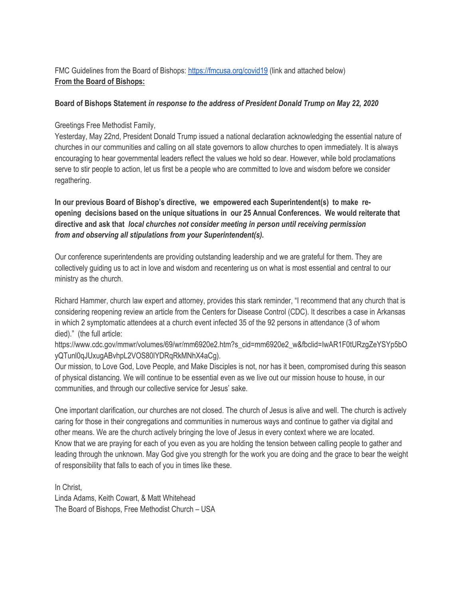# FMC Guidelines from the Board of Bishops: https://fmcusa.org/covid19 (link and attached below) **From the Board of Bishops:**

#### **Board of Bishops Statement** *in response to the address of President Donald Trump on May 22, 2020*

Greetings Free Methodist Family,

Yesterday, May 22nd, President Donald Trump issued a national declaration acknowledging the essential nature of churches in our communities and calling on all state governors to allow churches to open immediately. It is always encouraging to hear governmental leaders reflect the values we hold so dear. However, while bold proclamations serve to stir people to action, let us first be a people who are committed to love and wisdom before we consider regathering.

**In our previous Board of Bishop's directive, we empowered each Superintendent(s) to make reopening decisions based on the unique situations in our 25 Annual Conferences. We would reiterate that directive and ask that** *local churches not consider meeting in person until receiving permission from and observing all stipulations from your Superintendent(s).*

Our conference superintendents are providing outstanding leadership and we are grateful for them. They are collectively guiding us to act in love and wisdom and recentering us on what is most essential and central to our ministry as the church.

Richard Hammer, church law expert and attorney, provides this stark reminder, "I recommend that any church that is considering reopening review an article from the Centers for Disease Control (CDC). It describes a case in Arkansas in which 2 symptomatic attendees at a church event infected 35 of the 92 persons in attendance (3 of whom died)." (the full article:

https://www.cdc.gov/mmwr/volumes/69/wr/mm6920e2.htm?s\_cid=mm6920e2\_w&fbclid=IwAR1F0tURzgZeYSYp5bO yQTunl0qJUxugABvhpL2VOS80lYDRqRkMNhX4aCg).

Our mission, to Love God, Love People, and Make Disciples is not, nor has it been, compromised during this season of physical distancing. We will continue to be essential even as we live out our mission house to house, in our communities, and through our collective service for Jesus' sake.

One important clarification, our churches are not closed. The church of Jesus is alive and well. The church is actively caring for those in their congregations and communities in numerous ways and continue to gather via digital and other means. We are the church actively bringing the love of Jesus in every context where we are located. Know that we are praying for each of you even as you are holding the tension between calling people to gather and leading through the unknown. May God give you strength for the work you are doing and the grace to bear the weight of responsibility that falls to each of you in times like these.

In Christ, Linda Adams, Keith Cowart, & Matt Whitehead The Board of Bishops, Free Methodist Church – USA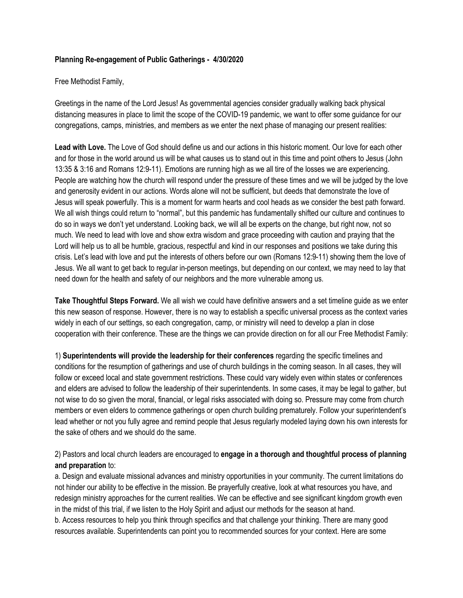#### **Planning Re-engagement of Public Gatherings - 4/30/2020**

Free Methodist Family,

Greetings in the name of the Lord Jesus! As governmental agencies consider gradually walking back physical distancing measures in place to limit the scope of the COVID-19 pandemic, we want to offer some guidance for our congregations, camps, ministries, and members as we enter the next phase of managing our present realities:

**Lead with Love.** The Love of God should define us and our actions in this historic moment. Our love for each other and for those in the world around us will be what causes us to stand out in this time and point others to Jesus (John 13:35 & 3:16 and Romans 12:9-11). Emotions are running high as we all tire of the losses we are experiencing. People are watching how the church will respond under the pressure of these times and we will be judged by the love and generosity evident in our actions. Words alone will not be sufficient, but deeds that demonstrate the love of Jesus will speak powerfully. This is a moment for warm hearts and cool heads as we consider the best path forward. We all wish things could return to "normal", but this pandemic has fundamentally shifted our culture and continues to do so in ways we don't yet understand. Looking back, we will all be experts on the change, but right now, not so much. We need to lead with love and show extra wisdom and grace proceeding with caution and praying that the Lord will help us to all be humble, gracious, respectful and kind in our responses and positions we take during this crisis. Let's lead with love and put the interests of others before our own (Romans 12:9-11) showing them the love of Jesus. We all want to get back to regular in-person meetings, but depending on our context, we may need to lay that need down for the health and safety of our neighbors and the more vulnerable among us.

**Take Thoughtful Steps Forward.** We all wish we could have definitive answers and a set timeline guide as we enter this new season of response. However, there is no way to establish a specific universal process as the context varies widely in each of our settings, so each congregation, camp, or ministry will need to develop a plan in close cooperation with their conference. These are the things we can provide direction on for all our Free Methodist Family:

1) **Superintendents will provide the leadership for their conferences** regarding the specific timelines and conditions for the resumption of gatherings and use of church buildings in the coming season. In all cases, they will follow or exceed local and state government restrictions. These could vary widely even within states or conferences and elders are advised to follow the leadership of their superintendents. In some cases, it may be legal to gather, but not wise to do so given the moral, financial, or legal risks associated with doing so. Pressure may come from church members or even elders to commence gatherings or open church building prematurely. Follow your superintendent's lead whether or not you fully agree and remind people that Jesus regularly modeled laying down his own interests for the sake of others and we should do the same.

2) Pastors and local church leaders are encouraged to **engage in a thorough and thoughtful process of planning and preparation** to:

a. Design and evaluate missional advances and ministry opportunities in your community. The current limitations do not hinder our ability to be effective in the mission. Be prayerfully creative, look at what resources you have, and redesign ministry approaches for the current realities. We can be effective and see significant kingdom growth even in the midst of this trial, if we listen to the Holy Spirit and adjust our methods for the season at hand.

b. Access resources to help you think through specifics and that challenge your thinking. There are many good resources available. Superintendents can point you to recommended sources for your context. Here are some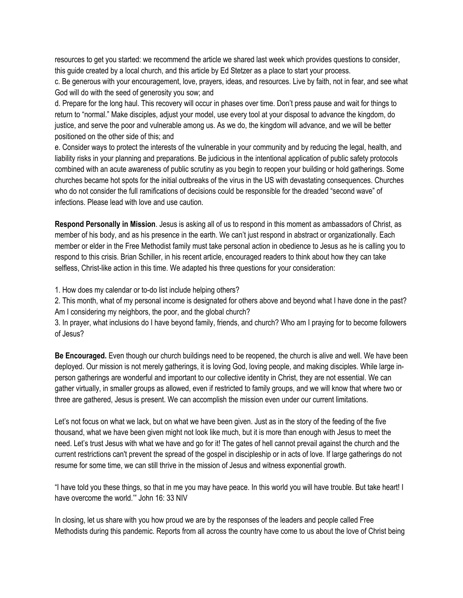resources to get you started: we recommend the article we shared last week which provides questions to consider, this guide created by a local church, and this article by Ed Stetzer as a place to start your process.

c. Be generous with your encouragement, love, prayers, ideas, and resources. Live by faith, not in fear, and see what God will do with the seed of generosity you sow; and

d. Prepare for the long haul. This recovery will occur in phases over time. Don't press pause and wait for things to return to "normal." Make disciples, adjust your model, use every tool at your disposal to advance the kingdom, do justice, and serve the poor and vulnerable among us. As we do, the kingdom will advance, and we will be better positioned on the other side of this; and

e. Consider ways to protect the interests of the vulnerable in your community and by reducing the legal, health, and liability risks in your planning and preparations. Be judicious in the intentional application of public safety protocols combined with an acute awareness of public scrutiny as you begin to reopen your building or hold gatherings. Some churches became hot spots for the initial outbreaks of the virus in the US with devastating consequences. Churches who do not consider the full ramifications of decisions could be responsible for the dreaded "second wave" of infections. Please lead with love and use caution.

**Respond Personally in Mission**. Jesus is asking all of us to respond in this moment as ambassadors of Christ, as member of his body, and as his presence in the earth. We can't just respond in abstract or organizationally. Each member or elder in the Free Methodist family must take personal action in obedience to Jesus as he is calling you to respond to this crisis. Brian Schiller, in his recent article, encouraged readers to think about how they can take selfless, Christ-like action in this time. We adapted his three questions for your consideration:

1. How does my calendar or to-do list include helping others?

2. This month, what of my personal income is designated for others above and beyond what I have done in the past? Am I considering my neighbors, the poor, and the global church?

3. In prayer, what inclusions do I have beyond family, friends, and church? Who am I praying for to become followers of Jesus?

**Be Encouraged.** Even though our church buildings need to be reopened, the church is alive and well. We have been deployed. Our mission is not merely gatherings, it is loving God, loving people, and making disciples. While large inperson gatherings are wonderful and important to our collective identity in Christ, they are not essential. We can gather virtually, in smaller groups as allowed, even if restricted to family groups, and we will know that where two or three are gathered, Jesus is present. We can accomplish the mission even under our current limitations.

Let's not focus on what we lack, but on what we have been given. Just as in the story of the feeding of the five thousand, what we have been given might not look like much, but it is more than enough with Jesus to meet the need. Let's trust Jesus with what we have and go for it! The gates of hell cannot prevail against the church and the current restrictions can't prevent the spread of the gospel in discipleship or in acts of love. If large gatherings do not resume for some time, we can still thrive in the mission of Jesus and witness exponential growth.

"I have told you these things, so that in me you may have peace. In this world you will have trouble. But take heart! I have overcome the world.'" John 16: 33 NIV

In closing, let us share with you how proud we are by the responses of the leaders and people called Free Methodists during this pandemic. Reports from all across the country have come to us about the love of Christ being